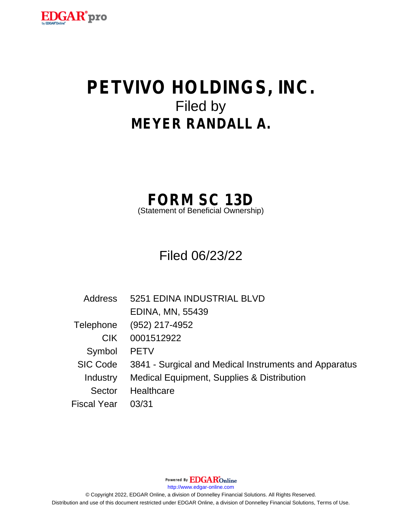

# **PETVIVO HOLDINGS, INC.** Filed by **MEYER RANDALL A.**

## **FORM SC 13D**

(Statement of Beneficial Ownership)

Filed 06/23/22

| <b>Address</b> | 5251 EDINA INDUSTRIAL BLVD                            |  |  |
|----------------|-------------------------------------------------------|--|--|
|                | <b>EDINA, MN, 55439</b>                               |  |  |
| Telephone      | (952) 217-4952                                        |  |  |
| CIK.           | 0001512922                                            |  |  |
| Symbol         | <b>PETV</b>                                           |  |  |
| SIC Code       | 3841 - Surgical and Medical Instruments and Apparatus |  |  |
| Industry       | Medical Equipment, Supplies & Distribution            |  |  |
| Sector         | Healthcare                                            |  |  |
| Fiscal Year    | 03/31                                                 |  |  |

Powered By **EDGAR**Online

http://www.edgar-online.com

© Copyright 2022, EDGAR Online, a division of Donnelley Financial Solutions. All Rights Reserved. Distribution and use of this document restricted under EDGAR Online, a division of Donnelley Financial Solutions, Terms of Use.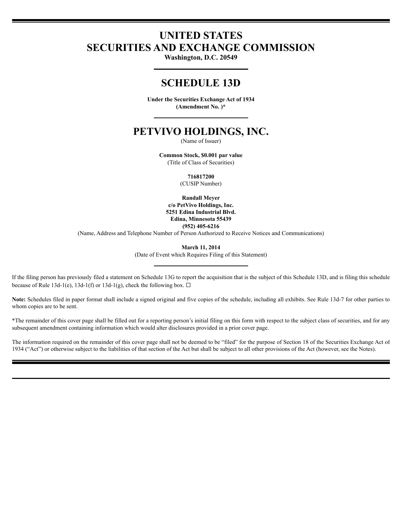## **UNITED STATES SECURITIES AND EXCHANGE COMMISSION**

Washington, D.C. 20549

### **SCHEDULE 13D**

Under the Securities Exchange Act of 1934 (Amendment No.)\*

### PETVIVO HOLDINGS, INC.

(Name of Issuer)

Common Stock, \$0.001 par value (Title of Class of Securities)

716817200

(CUSIP Number)

**Randall Meyer** c/o PetVivo Holdings, Inc. 5251 Edina Industrial Blvd. Edina, Minnesota 55439  $(952)$  405-6216

(Name, Address and Telephone Number of Person Authorized to Receive Notices and Communications)

**March 11, 2014** 

(Date of Event which Requires Filing of this Statement)

If the filing person has previously filed a statement on Schedule 13G to report the acquisition that is the subject of this Schedule 13D, and is filing this schedule because of Rule 13d-1(e), 13d-1(f) or 13d-1(g), check the following box.  $\Box$ 

Note: Schedules filed in paper format shall include a signed original and five copies of the schedule, including all exhibits. See Rule 13d-7 for other parties to whom copies are to be sent.

\*The remainder of this cover page shall be filled out for a reporting person's initial filing on this form with respect to the subject class of securities, and for any subsequent amendment containing information which would alter disclosures provided in a prior cover page.

The information required on the remainder of this cover page shall not be deemed to be "filed" for the purpose of Section 18 of the Securities Exchange Act of 1934 ("Act") or otherwise subject to the liabilities of that section of the Act but shall be subject to all other provisions of the Act (however, see the Notes).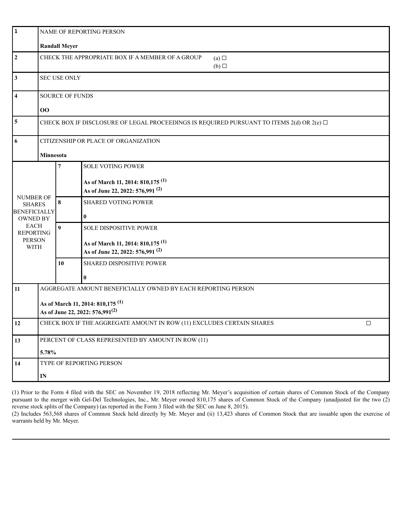| $\vert$ 1                                                                                                                                      | NAME OF REPORTING PERSON                                                                       |                  |                                                                                             |  |  |  |
|------------------------------------------------------------------------------------------------------------------------------------------------|------------------------------------------------------------------------------------------------|------------------|---------------------------------------------------------------------------------------------|--|--|--|
|                                                                                                                                                | <b>Randall Meyer</b>                                                                           |                  |                                                                                             |  |  |  |
| $\overline{2}$                                                                                                                                 | CHECK THE APPROPRIATE BOX IF A MEMBER OF A GROUP<br>(a)<br>(b)                                 |                  |                                                                                             |  |  |  |
| $\mathbf{3}$                                                                                                                                   | <b>SEC USE ONLY</b>                                                                            |                  |                                                                                             |  |  |  |
| $\overline{\mathbf{4}}$                                                                                                                        | <b>SOURCE OF FUNDS</b>                                                                         |                  |                                                                                             |  |  |  |
|                                                                                                                                                | $\bf{00}$                                                                                      |                  |                                                                                             |  |  |  |
| $\overline{\mathbf{5}}$                                                                                                                        | CHECK BOX IF DISCLOSURE OF LEGAL PROCEEDINGS IS REQUIRED PURSUANT TO ITEMS 2(d) OR 2(e) $\Box$ |                  |                                                                                             |  |  |  |
| 6<br>CITIZENSHIP OR PLACE OF ORGANIZATION                                                                                                      |                                                                                                |                  |                                                                                             |  |  |  |
|                                                                                                                                                | Minnesota                                                                                      |                  |                                                                                             |  |  |  |
|                                                                                                                                                |                                                                                                | 7                | <b>SOLE VOTING POWER</b>                                                                    |  |  |  |
| <b>NUMBER OF</b><br><b>SHARES</b><br><b>BENEFICIALLY</b><br><b>OWNED BY</b><br><b>EACH</b><br><b>REPORTING</b><br><b>PERSON</b><br><b>WITH</b> |                                                                                                |                  | As of March 11, 2014: 810,175 <sup>(1)</sup><br>As of June 22, 2022: 576,991 <sup>(2)</sup> |  |  |  |
|                                                                                                                                                |                                                                                                | 8                | <b>SHARED VOTING POWER</b><br>$\bf{0}$                                                      |  |  |  |
|                                                                                                                                                |                                                                                                | $\boldsymbol{9}$ | SOLE DISPOSITIVE POWER                                                                      |  |  |  |
|                                                                                                                                                |                                                                                                |                  | As of March 11, 2014: 810,175 <sup>(1)</sup><br>As of June 22, 2022: 576,991 <sup>(2)</sup> |  |  |  |
|                                                                                                                                                |                                                                                                | 10               | SHARED DISPOSITIVE POWER                                                                    |  |  |  |
|                                                                                                                                                |                                                                                                |                  | $\bf{0}$                                                                                    |  |  |  |
| 11                                                                                                                                             |                                                                                                |                  | AGGREGATE AMOUNT BENEFICIALLY OWNED BY EACH REPORTING PERSON                                |  |  |  |
|                                                                                                                                                | As of March 11, 2014: 810,175 <sup>(1)</sup><br>As of June 22, 2022: 576,991 <sup>(2)</sup>    |                  |                                                                                             |  |  |  |
| 12                                                                                                                                             | CHECK BOX IF THE AGGREGATE AMOUNT IN ROW (11) EXCLUDES CERTAIN SHARES<br>$\Box$                |                  |                                                                                             |  |  |  |
| 13                                                                                                                                             | PERCENT OF CLASS REPRESENTED BY AMOUNT IN ROW (11)                                             |                  |                                                                                             |  |  |  |
|                                                                                                                                                | 5.78%                                                                                          |                  |                                                                                             |  |  |  |
| 14                                                                                                                                             | TYPE OF REPORTING PERSON                                                                       |                  |                                                                                             |  |  |  |
|                                                                                                                                                | $\mathbf{IN}$                                                                                  |                  |                                                                                             |  |  |  |

(1) Prior to the Form 4 filed with the SEC on November 19, 2018 reflecting Mr. Meyer's acquisition of certain shares of Common Stock of the Company pursuant to the merger with Gel-Del Technologies, Inc., Mr. Meyer owned 810,175 shares of Common Stock of the Company (unadjusted for the two (2) reverse stock splits of the Company) (as reported in the Form 3 filed with the SEC on June 8, 2015).

(2) Includes 563,568 shares of Common Stock held directly by Mr. Meyer and (ii) 13,423 shares of Common Stock that are issuable upon the exercise of warrants held by Mr. Meyer.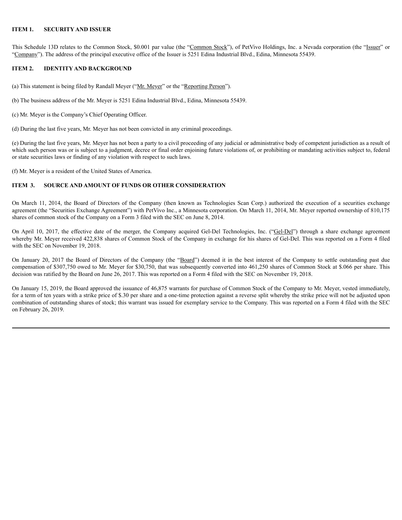#### **ITEM 1. SECURITY AND ISSUER**

This Schedule 13D relates to the Common Stock, \$0.001 par value (the "Common Stock"), of PetVivo Holdings, Inc. a Nevada corporation (the "Issuer" or "Company"). The address of the principal executive office of the Issuer is 5251 Edina Industrial Blvd., Edina, Minnesota 55439.

#### **ITEM 2. IDENTITY AND BACKGROUND**

(a) This statement is being filed by Randall Meyer ("Mr. Meyer" or the "Reporting Person").

(b) The business address of the Mr. Meyer is 5251 Edina Industrial Blvd., Edina, Minnesota 55439.

(c) Mr. Meyer is the Company's Chief Operating Officer.

(d) During the last five years, Mr. Meyer has not been convicted in any criminal proceedings.

(e) During the last five years, Mr. Meyer has not been a party to a civil proceeding of any judicial or administrative body of competent jurisdiction as a result of which such person was or is subject to a judgment, decree or final order enjoining future violations of, or prohibiting or mandating activities subject to, federal or state securities laws or finding of any violation with respect to such laws.

(f) Mr. Meyer is a resident of the United States of America.

#### **ITEM 3. SOURCE AND AMOUNT OF FUNDS OR OTHER CONSIDERATION**

On March 11, 2014, the Board of Directors of the Company (then known as Technologies Scan Corp.) authorized the execution of a securities exchange agreement (the "Securities Exchange Agreement") with PetVivo Inc., a Minnesota corporation. On March 11, 2014, Mr. Meyer reported ownership of 810,175 shares of common stock of the Company on a Form 3 filed with the SEC on June 8, 2014.

On April 10, 2017, the effective date of the merger, the Company acquired Gel-Del Technologies, Inc. ("Gel-Del") through a share exchange agreement whereby Mr. Meyer received 422,838 shares of Common Stock of the Company in exchange for his shares of Gel-Del. This was reported on a Form 4 filed with the SEC on November 19, 2018.

On January 20, 2017 the Board of Directors of the Company (the "Board") deemed it in the best interest of the Company to settle outstanding past due compensation of \$307,750 owed to Mr. Meyer for \$30,750, that was subsequently converted into 461,250 shares of Common Stock at \$.066 per share. This decision was ratified by the Board on June 26, 2017. This was reported on a Form 4 filed with the SEC on November 19, 2018.

On January 15, 2019, the Board approved the issuance of 46,875 warrants for purchase of Common Stock of the Company to Mr. Meyer, vested immediately, for a term of ten years with a strike price of \$.30 per share and a one-time protection against a reverse split whereby the strike price will not be adjusted upon combination of outstanding shares of stock; this warrant was issued for exemplary service to the Company. This was reported on a Form 4 filed with the SEC on February 26, 2019.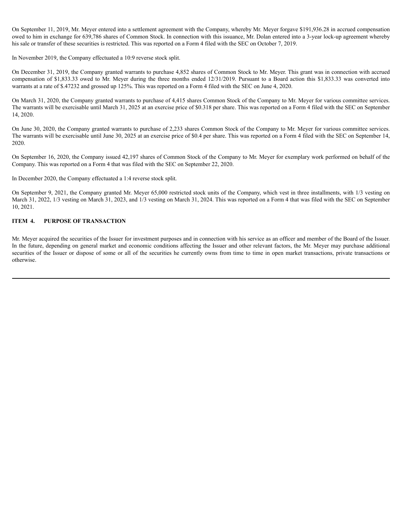On September 11, 2019, Mr. Meyer entered into a settlement agreement with the Company, whereby Mr. Meyer forgave \$191,936.28 in accrued compensation owed to him in exchange for 639,786 shares of Common Stock. In connection with this issuance, Mr. Dolan entered into a 3-year lock-up agreement whereby his sale or transfer of these securities is restricted. This was reported on a Form 4 filed with the SEC on October 7, 2019.

In November 2019, the Company effectuated a 10:9 reverse stock split.

On December 31, 2019, the Company granted warrants to purchase 4,852 shares of Common Stock to Mr. Meyer. This grant was in connection with accrued compensation of \$1,833.33 owed to Mr. Meyer during the three months ended 12/31/2019. Pursuant to a Board action this \$1,833.33 was converted into warrants at a rate of \$.47232 and grossed up 125%. This was reported on a Form 4 filed with the SEC on June 4, 2020.

On March 31, 2020, the Company granted warrants to purchase of 4,415 shares Common Stock of the Company to Mr. Meyer for various committee services. The warrants will be exercisable until March 31, 2025 at an exercise price of \$0.318 per share. This was reported on a Form 4 filed with the SEC on September 14, 2020.

On June 30, 2020, the Company granted warrants to purchase of 2,233 shares Common Stock of the Company to Mr. Meyer for various committee services. The warrants will be exercisable until June 30, 2025 at an exercise price of \$0.4 per share. This was reported on a Form 4 filed with the SEC on September 14, 2020.

On September 16, 2020, the Company issued 42,197 shares of Common Stock of the Company to Mr. Meyer for exemplary work performed on behalf of the Company. This was reported on a Form 4 that was filed with the SEC on September 22, 2020.

In December 2020, the Company effectuated a 1:4 reverse stock split.

On September 9, 2021, the Company granted Mr. Meyer 65,000 restricted stock units of the Company, which vest in three installments, with 1/3 vesting on March 31, 2022, 1/3 vesting on March 31, 2023, and 1/3 vesting on March 31, 2024. This was reported on a Form 4 that was filed with the SEC on September 10, 2021.

#### **ITEM 4. PURPOSE OF TRANSACTION**

Mr. Meyer acquired the securities of the Issuer for investment purposes and in connection with his service as an officer and member of the Board of the Issuer. In the future, depending on general market and economic conditions affecting the Issuer and other relevant factors, the Mr. Meyer may purchase additional securities of the Issuer or dispose of some or all of the securities he currently owns from time to time in open market transactions, private transactions or otherwise.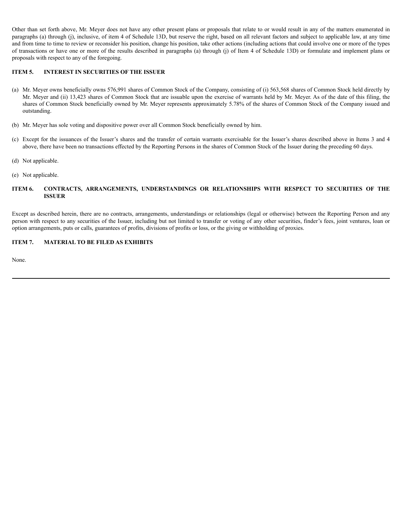Other than set forth above, Mr. Meyer does not have any other present plans or proposals that relate to or would result in any of the matters enumerated in paragraphs (a) through (j), inclusive, of item 4 of Schedule 13D, but reserve the right, based on all relevant factors and subject to applicable law, at any time and from time to time to review or reconsider his position, change his position, take other actions (including actions that could involve one or more of the types of transactions or have one or more of the results described in paragraphs (a) through (j) of Item 4 of Schedule 13D) or formulate and implement plans or proposals with respect to any of the foregoing.

#### **ITEM 5. INTEREST IN SECURITIES OF THE ISSUER**

- (a) Mr. Meyer owns beneficially owns 576,991 shares of Common Stock of the Company, consisting of (i) 563,568 shares of Common Stock held directly by Mr. Meyer and (ii) 13,423 shares of Common Stock that are issuable upon the exercise of warrants held by Mr. Meyer. As of the date of this filing, the shares of Common Stock beneficially owned by Mr. Meyer represents approximately 5.78% of the shares of Common Stock of the Company issued and outstanding.
- (b) Mr. Meyer has sole voting and dispositive power over all Common Stock beneficially owned by him.
- (c) Except for the issuances of the Issuer's shares and the transfer of certain warrants exercisable for the Issuer's shares described above in Items 3 and 4 above, there have been no transactions effected by the Reporting Persons in the shares of Common Stock of the Issuer during the preceding 60 days.
- (d) Not applicable.
- (e) Not applicable.

#### **ITEM 6. CONTRACTS, ARRANGEMENTS, UNDERSTANDINGS OR RELATIONSHIPS WITH RESPECT TO SECURITIES OF THE ISSUER**

Except as described herein, there are no contracts, arrangements, understandings or relationships (legal or otherwise) between the Reporting Person and any person with respect to any securities of the Issuer, including but not limited to transfer or voting of any other securities, finder's fees, joint ventures, loan or option arrangements, puts or calls, guarantees of profits, divisions of profits or loss, or the giving or withholding of proxies.

#### **ITEM 7. MATERIAL TO BE FILED AS EXHIBITS**

None.